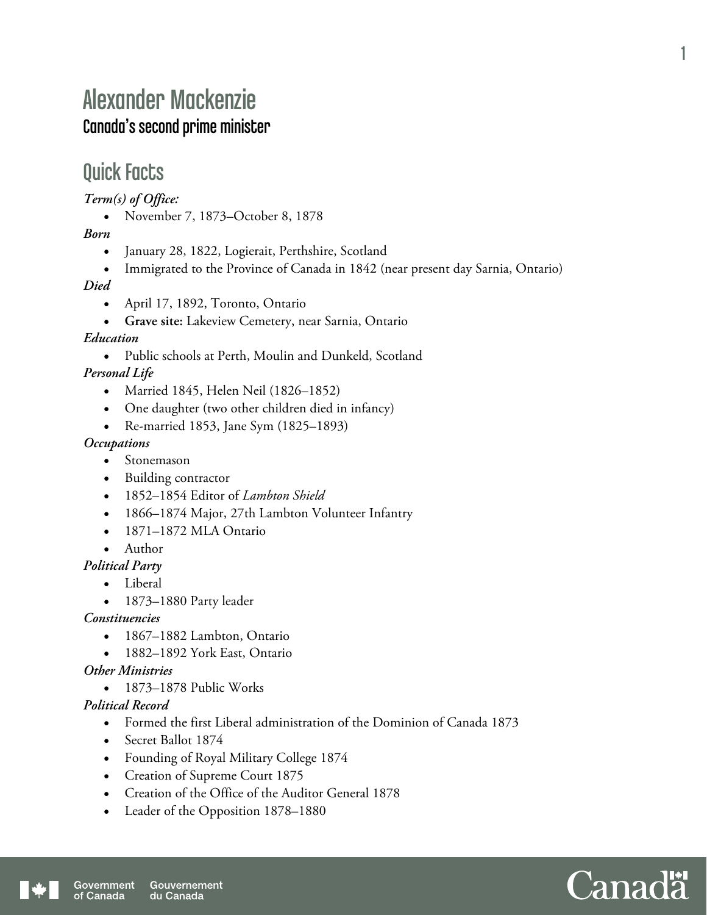# Alexander Mackenzie Canada's second prime minister

## Quick Facts

*Term(s) of Office:* 

November 7, 1873–October 8, 1878

*Born* 

- January 28, 1822, Logierait, Perthshire, Scotland
- Immigrated to the Province of Canada in 1842 (near present day Sarnia, Ontario)

*Died* 

- April 17, 1892, Toronto, Ontario
- **Grave site:** Lakeview Cemetery, near Sarnia, Ontario

#### *Education*

 Public schools at Perth, Moulin and Dunkeld, Scotland *Personal Life* 

- Married 1845, Helen Neil (1826–1852)
- One daughter (two other children died in infancy)
- Re-married 1853, Jane Sym (1825–1893)

#### *Occupations*

- Stonemason
- Building contractor
- 1852–1854 Editor of *Lambton Shield*
- 1866–1874 Major, 27th Lambton Volunteer Infantry
- 1871–1872 MLA Ontario
- Author
- *Political Party* 
	- Liberal
	- 1873–1880 Party leader

*Constituencies* 

- 1867–1882 Lambton, Ontario
- 1882–1892 York East, Ontario

#### *Other Ministries*

• 1873–1878 Public Works

*Political Record* 

- Formed the first Liberal administration of the Dominion of Canada 1873
- Secret Ballot 1874
- Founding of Royal Military College 1874
- Creation of Supreme Court 1875
- Creation of the Office of the Auditor General 1878
- Leader of the Opposition 1878–1880

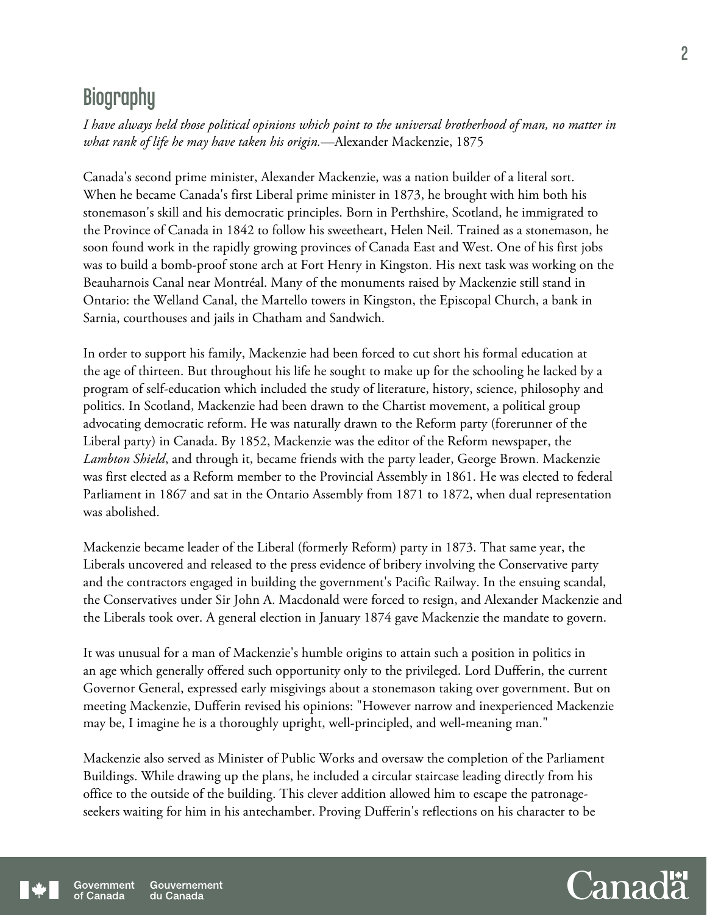## **Biography**

*I have always held those political opinions which point to the universal brotherhood of man, no matter in what rank of life he may have taken his origin.*—Alexander Mackenzie, 1875

Canada's second prime minister, Alexander Mackenzie, was a nation builder of a literal sort. When he became Canada's first Liberal prime minister in 1873, he brought with him both his stonemason's skill and his democratic principles. Born in Perthshire, Scotland, he immigrated to the Province of Canada in 1842 to follow his sweetheart, Helen Neil. Trained as a stonemason, he soon found work in the rapidly growing provinces of Canada East and West. One of his first jobs was to build a bomb-proof stone arch at Fort Henry in Kingston. His next task was working on the Beauharnois Canal near Montréal. Many of the monuments raised by Mackenzie still stand in Ontario: the Welland Canal, the Martello towers in Kingston, the Episcopal Church, a bank in Sarnia, courthouses and jails in Chatham and Sandwich.

In order to support his family, Mackenzie had been forced to cut short his formal education at the age of thirteen. But throughout his life he sought to make up for the schooling he lacked by a program of self-education which included the study of literature, history, science, philosophy and politics. In Scotland, Mackenzie had been drawn to the Chartist movement, a political group advocating democratic reform. He was naturally drawn to the Reform party (forerunner of the Liberal party) in Canada. By 1852, Mackenzie was the editor of the Reform newspaper, the *Lambton Shield*, and through it, became friends with the party leader, George Brown. Mackenzie was first elected as a Reform member to the Provincial Assembly in 1861. He was elected to federal Parliament in 1867 and sat in the Ontario Assembly from 1871 to 1872, when dual representation was abolished.

Mackenzie became leader of the Liberal (formerly Reform) party in 1873. That same year, the Liberals uncovered and released to the press evidence of bribery involving the Conservative party and the contractors engaged in building the government's Pacific Railway. In the ensuing scandal, the Conservatives under Sir John A. Macdonald were forced to resign, and Alexander Mackenzie and the Liberals took over. A general election in January 1874 gave Mackenzie the mandate to govern.

It was unusual for a man of Mackenzie's humble origins to attain such a position in politics in an age which generally offered such opportunity only to the privileged. Lord Dufferin, the current Governor General, expressed early misgivings about a stonemason taking over government. But on meeting Mackenzie, Dufferin revised his opinions: "However narrow and inexperienced Mackenzie may be, I imagine he is a thoroughly upright, well-principled, and well-meaning man."

Mackenzie also served as Minister of Public Works and oversaw the completion of the Parliament Buildings. While drawing up the plans, he included a circular staircase leading directly from his office to the outside of the building. This clever addition allowed him to escape the patronageseekers waiting for him in his antechamber. Proving Dufferin's reflections on his character to be

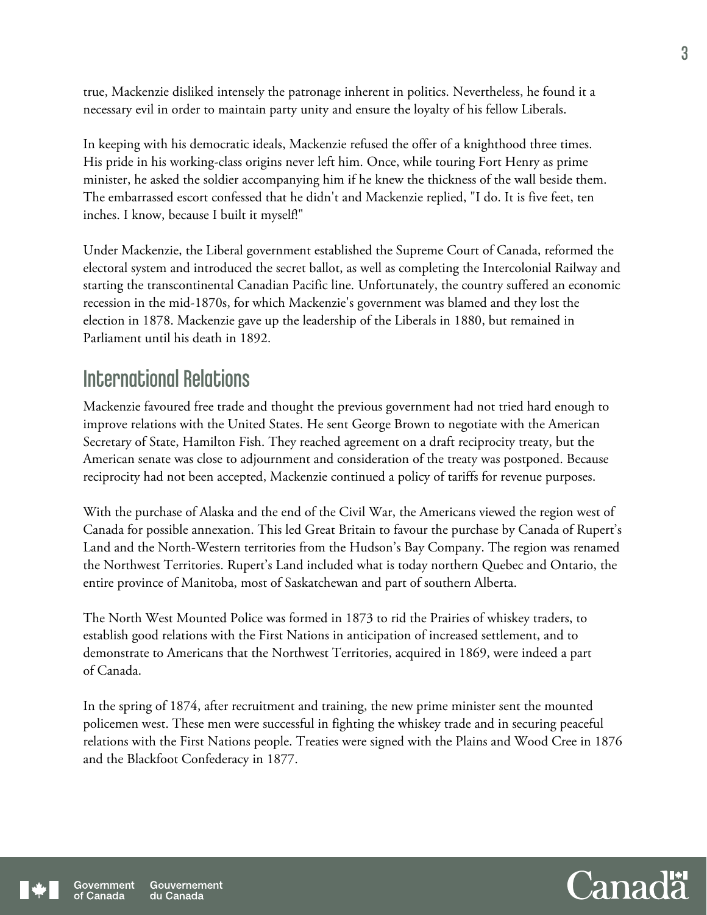true, Mackenzie disliked intensely the patronage inherent in politics. Nevertheless, he found it a necessary evil in order to maintain party unity and ensure the loyalty of his fellow Liberals.

In keeping with his democratic ideals, Mackenzie refused the offer of a knighthood three times. His pride in his working-class origins never left him. Once, while touring Fort Henry as prime minister, he asked the soldier accompanying him if he knew the thickness of the wall beside them. The embarrassed escort confessed that he didn't and Mackenzie replied, "I do. It is five feet, ten inches. I know, because I built it myself!"

Under Mackenzie, the Liberal government established the Supreme Court of Canada, reformed the electoral system and introduced the secret ballot, as well as completing the Intercolonial Railway and starting the transcontinental Canadian Pacific line. Unfortunately, the country suffered an economic recession in the mid-1870s, for which Mackenzie's government was blamed and they lost the election in 1878. Mackenzie gave up the leadership of the Liberals in 1880, but remained in Parliament until his death in 1892.

### International Relations

Mackenzie favoured free trade and thought the previous government had not tried hard enough to improve relations with the United States. He sent George Brown to negotiate with the American Secretary of State, Hamilton Fish. They reached agreement on a draft reciprocity treaty, but the American senate was close to adjournment and consideration of the treaty was postponed. Because reciprocity had not been accepted, Mackenzie continued a policy of tariffs for revenue purposes.

With the purchase of Alaska and the end of the Civil War, the Americans viewed the region west of Canada for possible annexation. This led Great Britain to favour the purchase by Canada of Rupert's Land and the North-Western territories from the Hudson's Bay Company. The region was renamed the Northwest Territories. Rupert's Land included what is today northern Quebec and Ontario, the entire province of Manitoba, most of Saskatchewan and part of southern Alberta.

The North West Mounted Police was formed in 1873 to rid the Prairies of whiskey traders, to establish good relations with the First Nations in anticipation of increased settlement, and to demonstrate to Americans that the Northwest Territories, acquired in 1869, were indeed a part of Canada.

In the spring of 1874, after recruitment and training, the new prime minister sent the mounted policemen west. These men were successful in fighting the whiskey trade and in securing peaceful relations with the First Nations people. Treaties were signed with the Plains and Wood Cree in 1876 and the Blackfoot Confederacy in 1877.